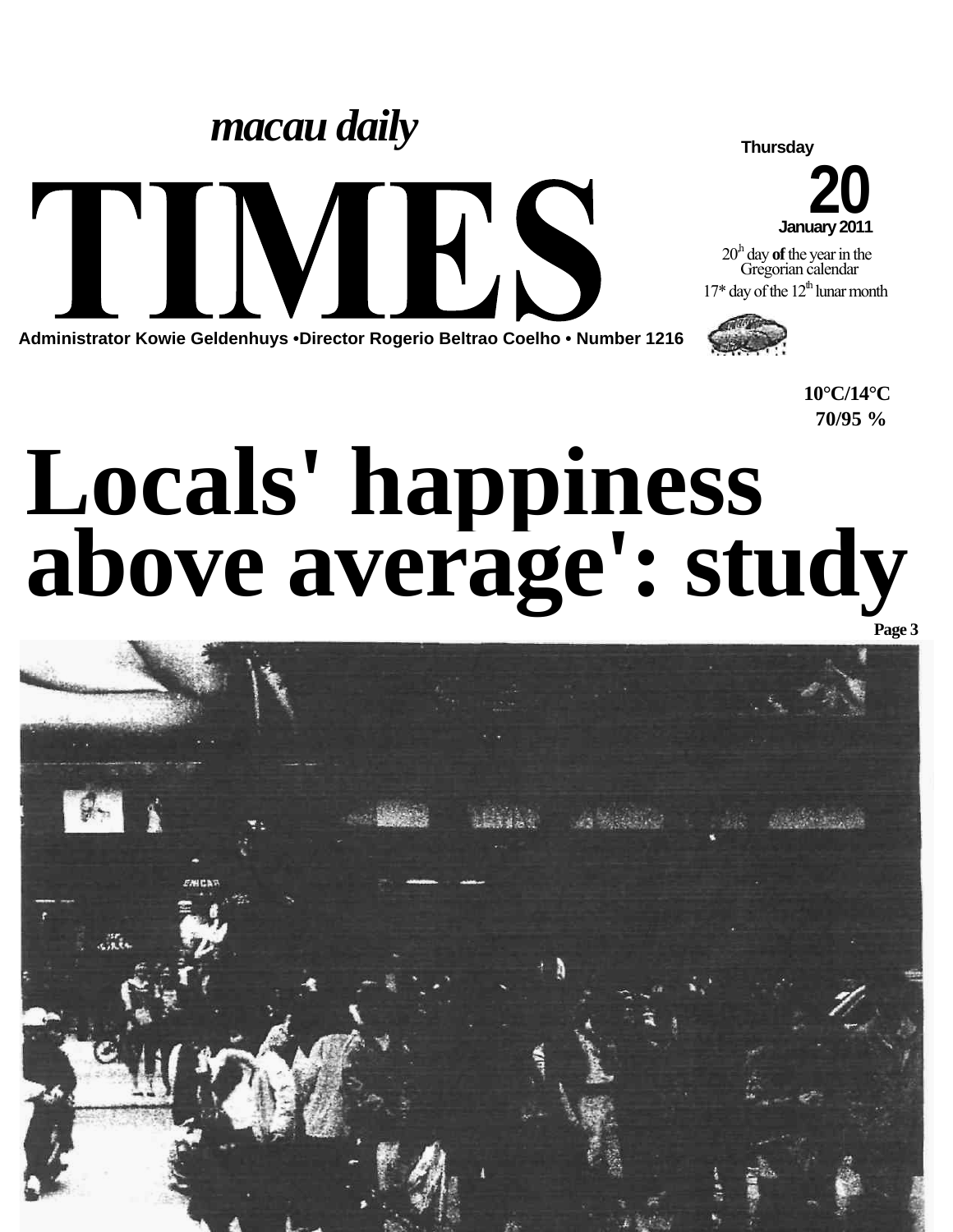### *macau daily*

 $\blacktriangledown$ 

**Administrator Kowie Geldenhuys •Director Rogerio Beltrao Coelho • Number 1216**

**Thursday**

**20 January 2011**

20,h day **of** the year in the Gregorian calendar  $17^*$  day of the  $12^{\text{th}}$  lunar month



**10°C/14°C 70/95 %**

## **Locals' happiness above average': study**

HK

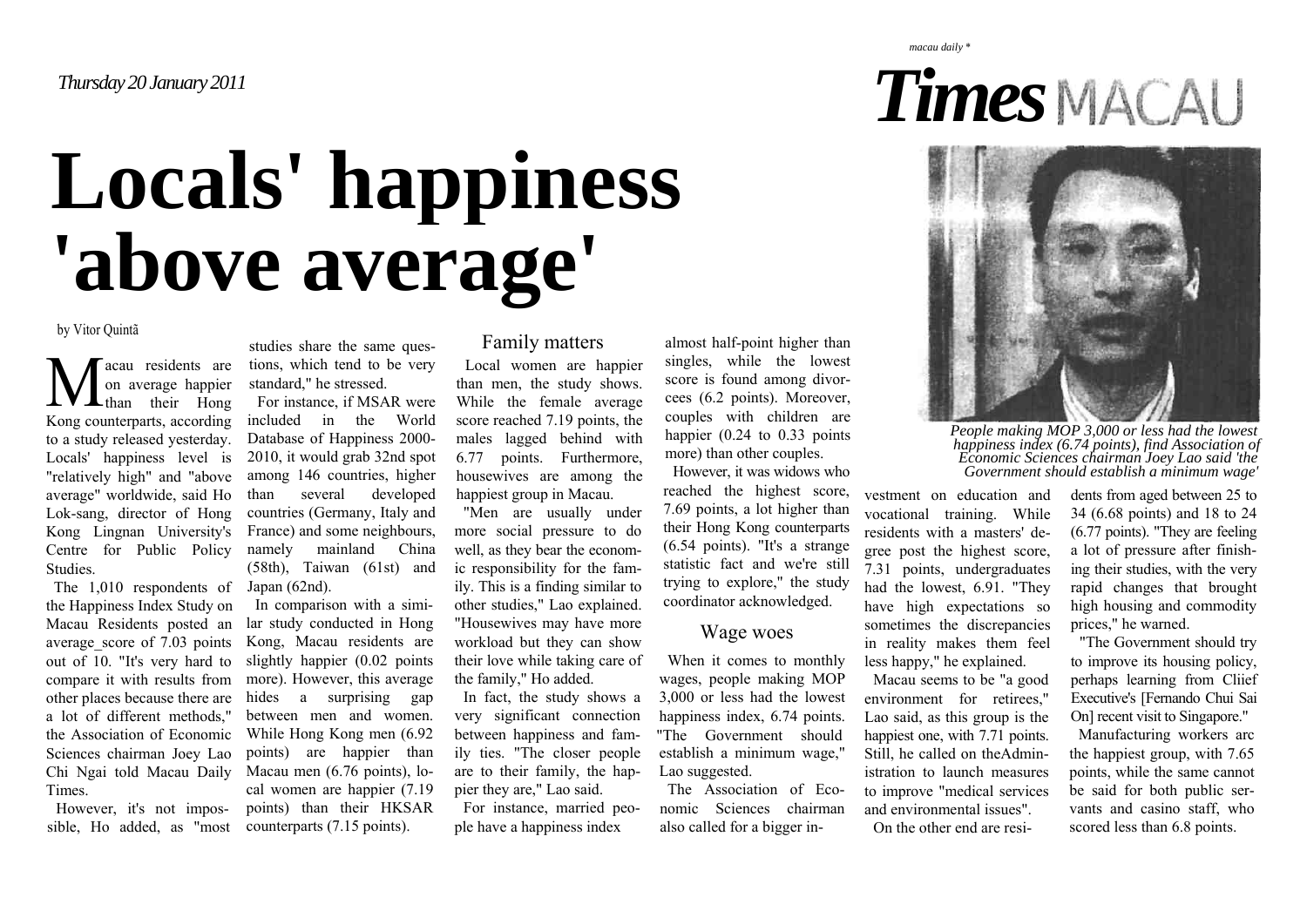## **Locals' happiness 'above average'**

by Vitor Quintã

acau residents are on average happier their Hong Kong counterparts, according to a study released yesterday. Locals' happiness level is "relatively high" and "above average" worldwide, said Ho Lok-sang, director of Hong Kong Lingnan University's Centre for Public Policy Studies.  $\sum$  on

The 1,010 respondents of the Happiness Index Study on a lot of different methods," the Association of Economic Sciences chairman Joey Lao Times.

However, it's not impossible, Ho added, as "most

studies share the same questions, which tend to be very standard," he stressed. For instance, if MSAR were included in the World Database of Happiness 2000- 2010, it would grab 32nd spot among 146 countries, higher than several developed countries (Germany, Italy and

France) and some neighbours, namely mainland China (58th), Taiwan (61st) and Japan (62nd).

Macau Residents posted <sup>a</sup><sup>n</sup> lar study conducted in Hong average score of 7.03 points Kong, Macau residents are out of 10. "It's very hard to slightly happier (0.02 points compare it with results from more). However, this average other places because there are hides a surprising gap Chi Ngai told Macau Daily Macau men (6.76 points), lo-In comparison with a simibetween men and women. While Hong Kong men (6.92 points) are happier than cal women are happier (7.19 points) than their HKSAR counterparts (7.15 points).

#### Family matters

Local women are happier than men, the study shows. While the female average score reached 7.19 points, the males lagged behind with 6.77 points. Furthermore, housewives are among the happiest group in Macau.

"Men are usually under more social pressure to do well, as they bear the economic responsibility for the family. This is a finding similar to other studies," Lao explained. "Housewives may have more workload but they can show their love while taking care of the family," Ho added.

In fact, the study shows a very significant connection between happiness and family ties. "The closer people are to their family, the happier they are," Lao said.

For instance, married people have a happiness index

almost half-point higher than singles, while the lowest score is found among divorcees (6.2 points). Moreover, couples with children are happier (0.24 to 0.33 points) more) than other couples.

However, it was widows who reached the highest score, 7.69 points, a lot higher than their Hong Kong counterparts (6.54 points). "It's a strange statistic fact and we're still trying to explore," the study coordinator acknowledged.

### Wage woes

When it comes to monthly wages, people making MOP 3,000 or less had the lowest happiness index, 6.74 points. "The Government should establish a minimum wage," Lao suggested.

The Association of Economic Sciences chairman also called for a bigger investment on education and vocational training. While residents with a masters' degree post the highest score,<br>7.31 points, undergraduates<br>had the lowest, 6.91. "They<br>have high expectations so<br>sometimes the discrepancies<br>in reality makes them feel<br>less happy," he explained.<br>Macau seems to be "a good<br>env vestment on education and dents from aged between 25 to<br>vocational training. While 34 (6.68 points) and 18 to 24<br>residents with a masters' de- (6.77 points). "They are feeling<br>gree post the highest score, a lot of pressure

# *People making MOP 3,000 or less had the lowest happiness index (6.74 points), find Association of Economic Sciences chairman Joey Lao said 'the Government should establish a minimum wage'*

*Times*

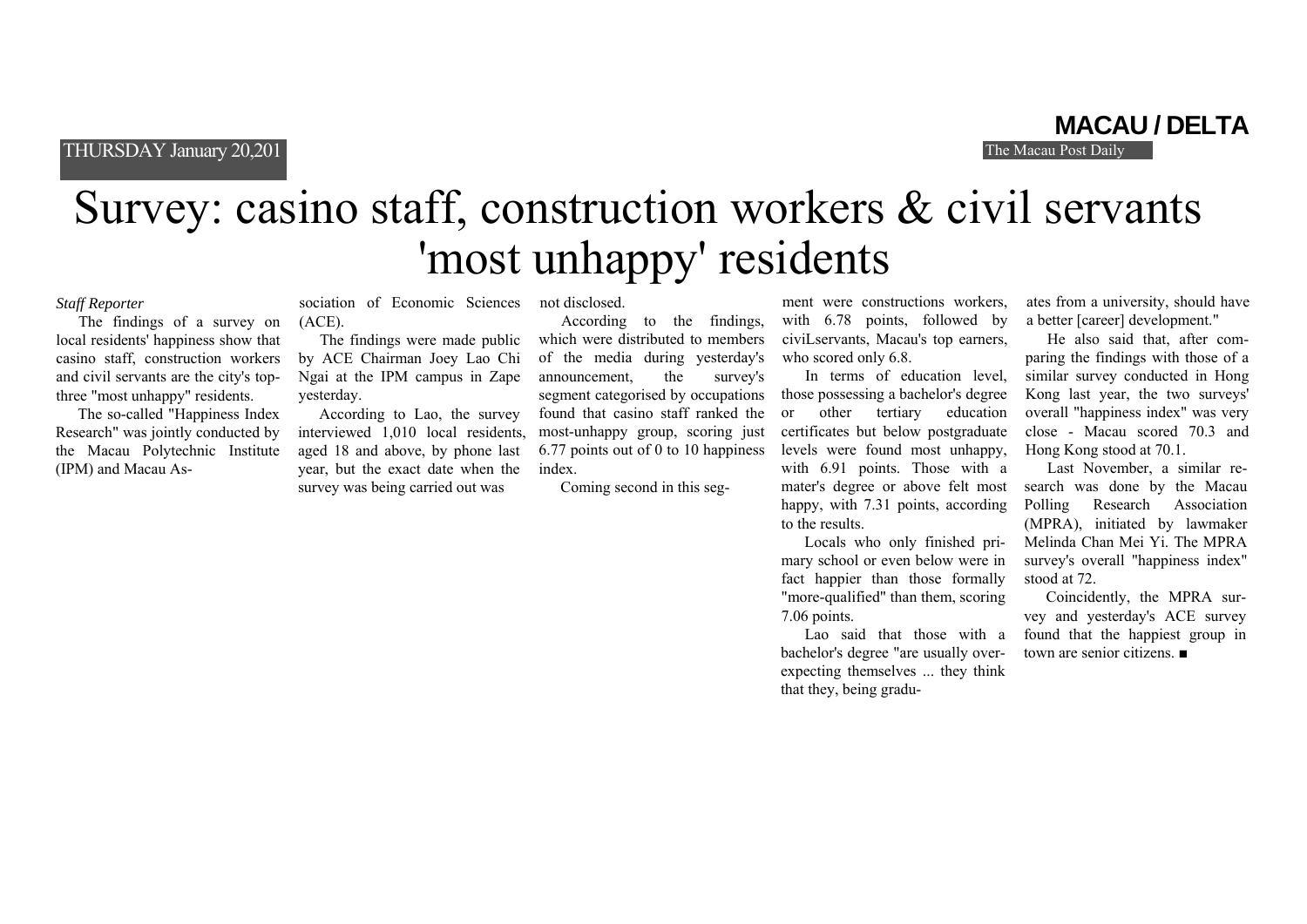THURSDAY January 20,201

**MACAU / DELTA**

### Survey: casino staff, construction workers & civil servants 'most unhappy' residents

#### *Staff Reporter*

The findings of a survey on local residents' happiness show that casino staff, construction workers and civil servants are the city's topthree "most unhappy" residents.

The so-called "Happiness Index Research" was jointly conducted by the Macau Polytechnic Institute (IPM) and Macau As-

sociation of Economic Sciences (ACE).<br>The findings were made public by ACE Chairman Joey Lao Chi Ngai at the IPM campus in Zape yesterday.<br>According to Lao, the survey interviewed 1,010 local residents,

aged 18 and above, by phone last year, but the exact date when the survey was being carried out was

not disclosed.

According to the findings, which were distributed to members of the media during yesterday's announcement, the survey's segment categorised by occupations found that casino staff ranked the most-unhappy group, scoring just 6.77 points out of 0 to 10 happiness index.

Coming second in this seg-

ment were constructions workers,<br>with 6.78 points, followed by<br>civiLservants, Macau's top earners,<br>who scored only 6.8.<br>In terms of education level,<br>those possessing a bachelor's degree<br>or other tertiary education<br>certific happy, with 7.31 points, according to the results.

Locals who only finished primary school or even below were in fact happier than those formally "more-qualified" than them, scoring 7.06 points.

Lao said that those with a bachelor's degree "are usually overexpecting themselves ... they think that they, being graduates from a university, should have a better [career] development." He also said that, after com-

paring the findings with those of a similar survey conducted in Hong Kong last year, the two surveys' overall "happiness index" was very close - Macau scored 70.3 and Hong Kong stood at 70.1. Last November, a similar re-

search was done by the Macau Polling Research Association (MPRA), initiated by lawmaker Melinda Chan Mei Yi. The MPRA survey's overall "happiness index" stood at 72. Coincidently, the MPRA sur-

vey and yesterday's ACE survey found that the happiest group in town are senior citizens. ■